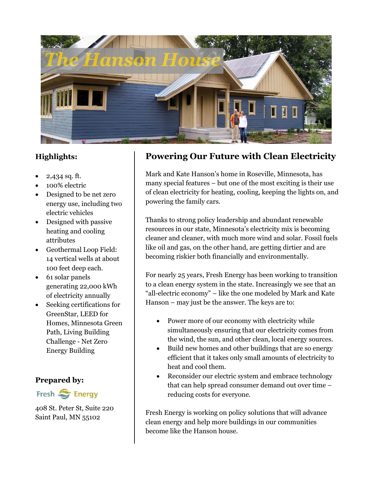

## **Highlights:**

- 2,434 sq. ft.
- 100% electric
- Designed to be net zero energy use, including two electric vehicles
- Designed with passive heating and cooling attributes
- Geothermal Loop Field: 14 vertical wells at about 100 feet deep each.
- 61 solar panels generating 22,000 kWh of electricity annually
- Seeking certifications for GreenStar, LEED for Homes, Minnesota Green Path, Living Building Challenge - Net Zero Energy Building

#### **Prepared by:**



408 St. Peter St, Suite 220 Saint Paul, MN 55102

# **Powering Our Future with Clean Electricity**

Mark and Kate Hanson's home in Roseville, Minnesota, has many special features – but one of the most exciting is their use of clean electricity for heating, cooling, keeping the lights on, and powering the family cars.

Thanks to strong policy leadership and abundant renewable resources in our state, Minnesota's electricity mix is becoming cleaner and cleaner, with much more wind and solar. Fossil fuels like oil and gas, on the other hand, are getting dirtier and are becoming riskier both financially and environmentally.

For nearly 25 years, Fresh Energy has been working to transition to a clean energy system in the state. Increasingly we see that an "all-electric economy" – like the one modeled by Mark and Kate Hanson – may just be the answer. The keys are to:

- Power more of our economy with electricity while simultaneously ensuring that our electricity comes from the wind, the sun, and other clean, local energy sources.
- Build new homes and other buildings that are so energy efficient that it takes only small amounts of electricity to heat and cool them.
- Reconsider our electric system and embrace technology that can help spread consumer demand out over time – reducing costs for everyone.

Fresh Energy is working on policy solutions that will advance clean energy and help more buildings in our communities become like the Hanson house.